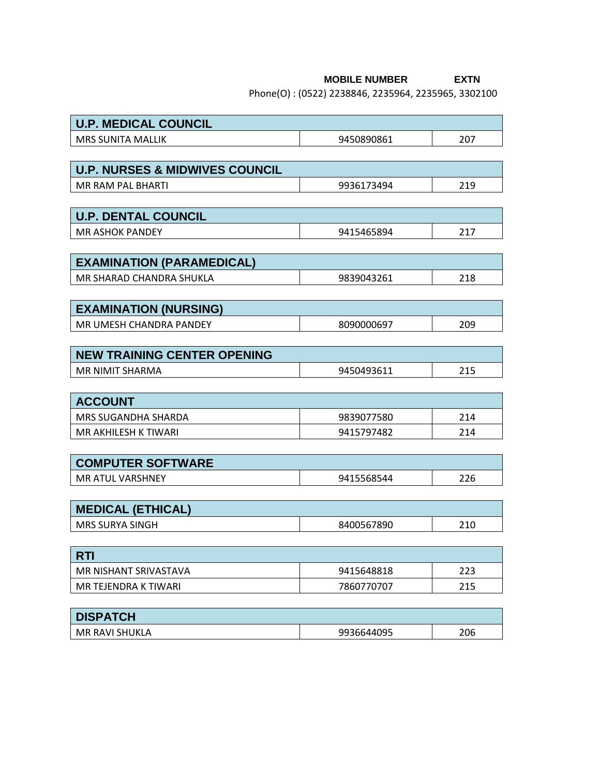## **MOBILE NUMBER EXTN**

Phone(O) : (0522) 2238846, 2235964, 2235965, 3302100

| <b>U.P. MEDICAL COUNCIL</b>               |                   |     |  |  |  |
|-------------------------------------------|-------------------|-----|--|--|--|
| <b>MRS SUNITA MALLIK</b>                  | 9450890861        | 207 |  |  |  |
|                                           |                   |     |  |  |  |
| <b>U.P. NURSES &amp; MIDWIVES COUNCIL</b> |                   |     |  |  |  |
| MR RAM PAL BHARTI                         | 9936173494        | 219 |  |  |  |
|                                           |                   |     |  |  |  |
| <b>U.P. DENTAL COUNCIL</b>                |                   |     |  |  |  |
| <b>MR ASHOK PANDEY</b>                    | 9415465894        | 217 |  |  |  |
|                                           |                   |     |  |  |  |
| <b>EXAMINATION (PARAMEDICAL)</b>          |                   |     |  |  |  |
| MR SHARAD CHANDRA SHUKLA                  | 9839043261        | 218 |  |  |  |
|                                           |                   |     |  |  |  |
| <b>EXAMINATION (NURSING)</b>              |                   |     |  |  |  |
| MR UMESH CHANDRA PANDEY                   | 8090000697        | 209 |  |  |  |
|                                           |                   |     |  |  |  |
| <b>NEW TRAINING CENTER OPENING</b>        |                   |     |  |  |  |
| MR NIMIT SHARMA                           | 9450493611        | 215 |  |  |  |
| <b>ACCOUNT</b>                            |                   |     |  |  |  |
| MRS SUGANDHA SHARDA                       | 9839077580        | 214 |  |  |  |
| MR AKHILESH K TIWARI                      | 9415797482        | 214 |  |  |  |
|                                           |                   |     |  |  |  |
| <b>COMPUTER SOFTWARE</b>                  |                   |     |  |  |  |
| MR ATUL VARSHNEY                          | 9415568544        | 226 |  |  |  |
|                                           |                   |     |  |  |  |
| <b>MEDICAL (ETHICAL)</b>                  |                   |     |  |  |  |
| <b>MRS SURYA SINGH</b>                    | 8400567890        | 210 |  |  |  |
|                                           |                   |     |  |  |  |
| <b>RTI</b>                                |                   |     |  |  |  |
| MR NISHANT SRIVASTAVA                     | 9415648818        | 223 |  |  |  |
| MR TEJENDRA K TIWARI                      | 215<br>7860770707 |     |  |  |  |
|                                           |                   |     |  |  |  |
| <b>DISPATCH</b>                           |                   |     |  |  |  |
| <b>MR RAVI SHUKLA</b>                     | 9936644095        | 206 |  |  |  |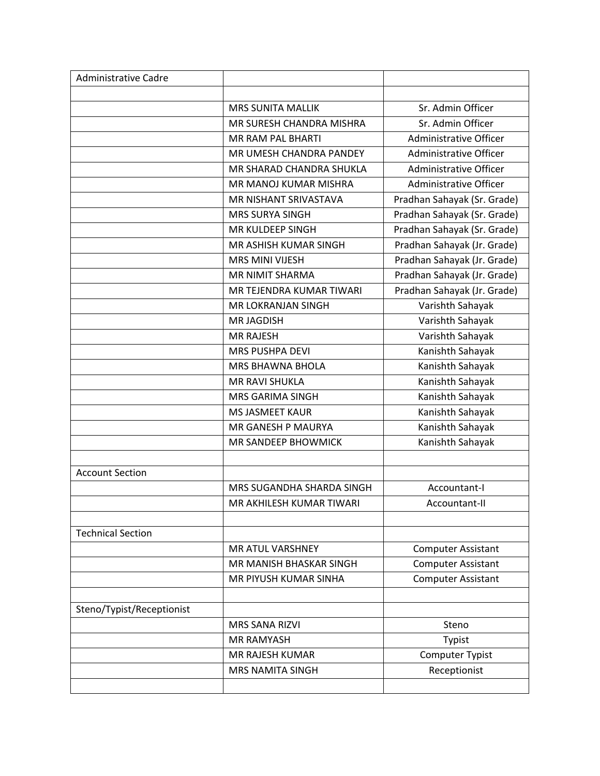| <b>Administrative Cadre</b> |                           |                               |
|-----------------------------|---------------------------|-------------------------------|
|                             |                           |                               |
|                             | <b>MRS SUNITA MALLIK</b>  | Sr. Admin Officer             |
|                             | MR SURESH CHANDRA MISHRA  | Sr. Admin Officer             |
|                             | MR RAM PAL BHARTI         | Administrative Officer        |
|                             | MR UMESH CHANDRA PANDEY   | Administrative Officer        |
|                             | MR SHARAD CHANDRA SHUKLA  | <b>Administrative Officer</b> |
|                             | MR MANOJ KUMAR MISHRA     | Administrative Officer        |
|                             | MR NISHANT SRIVASTAVA     | Pradhan Sahayak (Sr. Grade)   |
|                             | <b>MRS SURYA SINGH</b>    | Pradhan Sahayak (Sr. Grade)   |
|                             | MR KULDEEP SINGH          | Pradhan Sahayak (Sr. Grade)   |
|                             | MR ASHISH KUMAR SINGH     | Pradhan Sahayak (Jr. Grade)   |
|                             | <b>MRS MINI VIJESH</b>    | Pradhan Sahayak (Jr. Grade)   |
|                             | MR NIMIT SHARMA           | Pradhan Sahayak (Jr. Grade)   |
|                             | MR TEJENDRA KUMAR TIWARI  | Pradhan Sahayak (Jr. Grade)   |
|                             | MR LOKRANJAN SINGH        | Varishth Sahayak              |
|                             | <b>MR JAGDISH</b>         | Varishth Sahayak              |
|                             | <b>MR RAJESH</b>          | Varishth Sahayak              |
|                             | <b>MRS PUSHPA DEVI</b>    | Kanishth Sahayak              |
|                             | <b>MRS BHAWNA BHOLA</b>   | Kanishth Sahayak              |
|                             | <b>MR RAVI SHUKLA</b>     | Kanishth Sahayak              |
|                             | <b>MRS GARIMA SINGH</b>   | Kanishth Sahayak              |
|                             | <b>MS JASMEET KAUR</b>    | Kanishth Sahayak              |
|                             | MR GANESH P MAURYA        | Kanishth Sahayak              |
|                             | MR SANDEEP BHOWMICK       | Kanishth Sahayak              |
|                             |                           |                               |
| <b>Account Section</b>      |                           |                               |
|                             | MRS SUGANDHA SHARDA SINGH | Accountant-I                  |
|                             | MR AKHILESH KUMAR TIWARI  | Accountant-II                 |
|                             |                           |                               |
| <b>Technical Section</b>    |                           |                               |
|                             | MR ATUL VARSHNEY          | <b>Computer Assistant</b>     |
|                             | MR MANISH BHASKAR SINGH   | <b>Computer Assistant</b>     |
|                             | MR PIYUSH KUMAR SINHA     | <b>Computer Assistant</b>     |
|                             |                           |                               |
| Steno/Typist/Receptionist   |                           |                               |
|                             | MRS SANA RIZVI            | Steno                         |
|                             | <b>MR RAMYASH</b>         | Typist                        |
|                             | MR RAJESH KUMAR           | Computer Typist               |
|                             | <b>MRS NAMITA SINGH</b>   | Receptionist                  |
|                             |                           |                               |